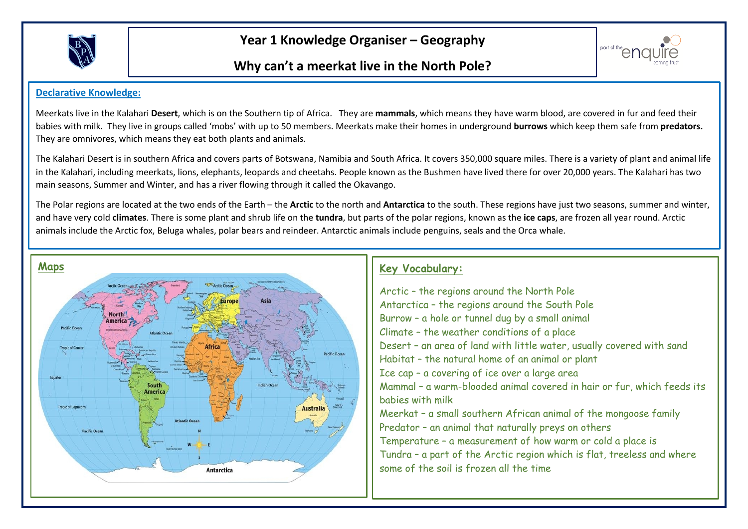

**Year 1 Knowledge Organiser – Geography**

### **Why can't a meerkat live in the North Pole?**



#### **Declarative Knowledge:**

Meerkats live in the Kalahari **Desert**, which is on the Southern tip of Africa. They are **mammals**, which means they have warm blood, are covered in fur and feed their babies with milk. They live in groups called 'mobs' with up to 50 members. Meerkats make their homes in underground **burrows** which keep them safe from **predators.** They are omnivores, which means they eat both plants and animals.

The Kalahari Desert is in southern Africa and covers parts of Botswana, Namibia and South Africa. It covers 350,000 square miles. There is a variety of plant and animal life in the Kalahari, including meerkats, lions, elephants, leopards and cheetahs. People known as the Bushmen have lived there for over 20,000 years. The Kalahari has two main seasons, Summer and Winter, and has a river flowing through it called the Okavango.

The Polar regions are located at the two ends of the Earth – the **Arctic** to the north and **Antarctica** to the south. These regions have just two seasons, summer and winter, and have very cold **climates**. There is some plant and shrub life on the **tundra**, but parts of the polar regions, known as the **ice caps**, are frozen all year round. Arctic animals include the Arctic fox, Beluga whales, polar bears and reindeer. Antarctic animals include penguins, seals and the Orca whale.